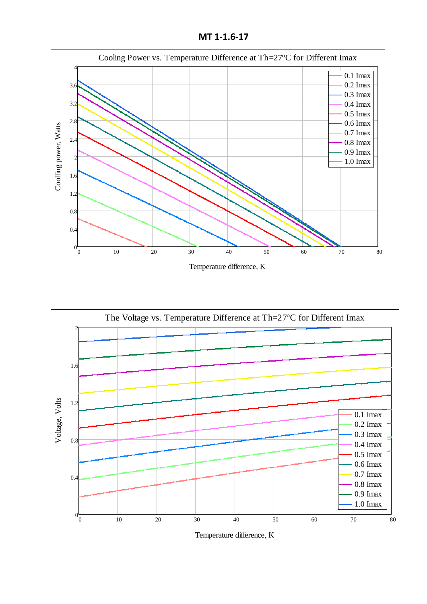**MT 1-1.6-17**